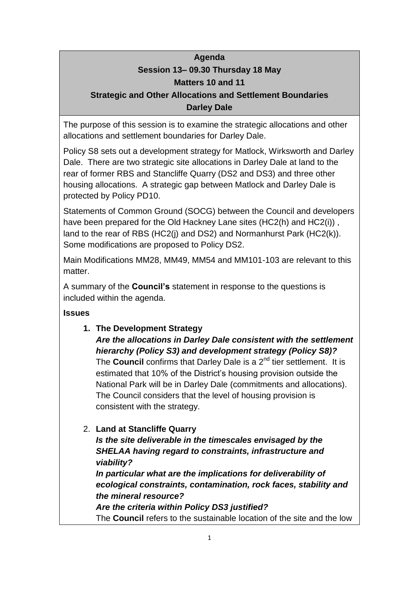# **Agenda Session 13– 09.30 Thursday 18 May Matters 10 and 11**

# **Strategic and Other Allocations and Settlement Boundaries Darley Dale**

The purpose of this session is to examine the strategic allocations and other allocations and settlement boundaries for Darley Dale.

Policy S8 sets out a development strategy for Matlock, Wirksworth and Darley Dale. There are two strategic site allocations in Darley Dale at land to the rear of former RBS and Stancliffe Quarry (DS2 and DS3) and three other housing allocations. A strategic gap between Matlock and Darley Dale is protected by Policy PD10.

Statements of Common Ground (SOCG) between the Council and developers have been prepared for the Old Hackney Lane sites (HC2(h) and HC2(i)) , land to the rear of RBS (HC2(j) and DS2) and Normanhurst Park (HC2(k)). Some modifications are proposed to Policy DS2.

Main Modifications MM28, MM49, MM54 and MM101-103 are relevant to this matter.

A summary of the **Council's** statement in response to the questions is included within the agenda.

### **Issues**

**1. The Development Strategy**

*Are the allocations in Darley Dale consistent with the settlement hierarchy (Policy S3) and development strategy (Policy S8)?* The **Council** confirms that Darley Dale is a 2<sup>nd</sup> tier settlement. It is estimated that 10% of the District's housing provision outside the National Park will be in Darley Dale (commitments and allocations). The Council considers that the level of housing provision is consistent with the strategy.

# 2. **Land at Stancliffe Quarry**

*Is the site deliverable in the timescales envisaged by the SHELAA having regard to constraints, infrastructure and viability?*

*In particular what are the implications for deliverability of ecological constraints, contamination, rock faces, stability and the mineral resource?*

*Are the criteria within Policy DS3 justified?* The **Council** refers to the sustainable location of the site and the low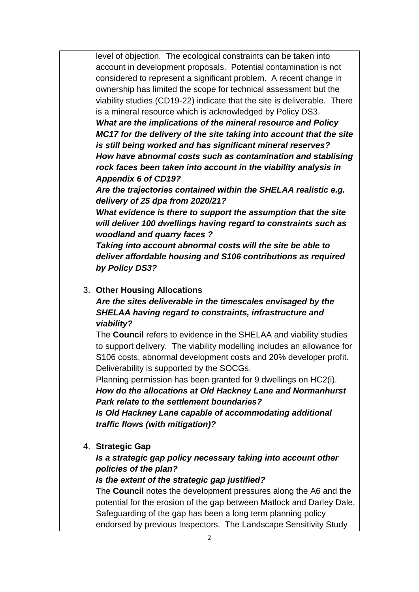level of objection. The ecological constraints can be taken into account in development proposals. Potential contamination is not considered to represent a significant problem. A recent change in ownership has limited the scope for technical assessment but the viability studies (CD19-22) indicate that the site is deliverable.There is a mineral resource which is acknowledged by Policy DS3.

*What are the implications of the mineral resource and Policy MC17 for the delivery of the site taking into account that the site is still being worked and has significant mineral reserves? How have abnormal costs such as contamination and stablising rock faces been taken into account in the viability analysis in Appendix 6 of CD19?*

*Are the trajectories contained within the SHELAA realistic e.g. delivery of 25 dpa from 2020/21?*

*What evidence is there to support the assumption that the site will deliver 100 dwellings having regard to constraints such as woodland and quarry faces ?*

*Taking into account abnormal costs will the site be able to deliver affordable housing and S106 contributions as required by Policy DS3?*

#### 3. **Other Housing Allocations**

*Are the sites deliverable in the timescales envisaged by the SHELAA having regard to constraints, infrastructure and viability?*

The **Council** refers to evidence in the SHELAA and viability studies to support delivery. The viability modelling includes an allowance for S106 costs, abnormal development costs and 20% developer profit. Deliverability is supported by the SOCGs.

Planning permission has been granted for 9 dwellings on HC2(i). *How do the allocations at Old Hackney Lane and Normanhurst* 

*Park relate to the settlement boundaries?*

*Is Old Hackney Lane capable of accommodating additional traffic flows (with mitigation)?*

4. **Strategic Gap**

## *Is a strategic gap policy necessary taking into account other policies of the plan?*

### *Is the extent of the strategic gap justified?*

The **Council** notes the development pressures along the A6 and the potential for the erosion of the gap between Matlock and Darley Dale. Safeguarding of the gap has been a long term planning policy endorsed by previous Inspectors. The Landscape Sensitivity Study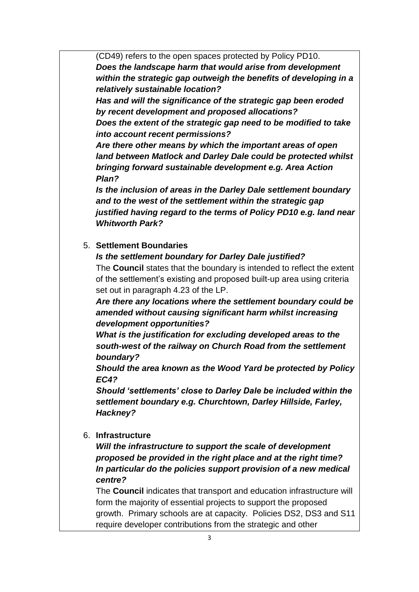(CD49) refers to the open spaces protected by Policy PD10. *Does the landscape harm that would arise from development within the strategic gap outweigh the benefits of developing in a relatively sustainable location?*

*Has and will the significance of the strategic gap been eroded by recent development and proposed allocations?*

*Does the extent of the strategic gap need to be modified to take into account recent permissions?*

*Are there other means by which the important areas of open land between Matlock and Darley Dale could be protected whilst bringing forward sustainable development e.g. Area Action Plan?*

*Is the inclusion of areas in the Darley Dale settlement boundary and to the west of the settlement within the strategic gap justified having regard to the terms of Policy PD10 e.g. land near Whitworth Park?*

## 5. **Settlement Boundaries**

*Is the settlement boundary for Darley Dale justified?*

The **Council** states that the boundary is intended to reflect the extent of the settlement's existing and proposed built-up area using criteria set out in paragraph 4.23 of the LP.

*Are there any locations where the settlement boundary could be amended without causing significant harm whilst increasing development opportunities?*

*What is the justification for excluding developed areas to the south-west of the railway on Church Road from the settlement boundary?*

*Should the area known as the Wood Yard be protected by Policy EC4?*

*Should 'settlements' close to Darley Dale be included within the settlement boundary e.g. Churchtown, Darley Hillside, Farley, Hackney?*

6. **Infrastructure**

*Will the infrastructure to support the scale of development proposed be provided in the right place and at the right time? In particular do the policies support provision of a new medical centre?*

The **Council** indicates that transport and education infrastructure will form the majority of essential projects to support the proposed growth. Primary schools are at capacity. Policies DS2, DS3 and S11 require developer contributions from the strategic and other